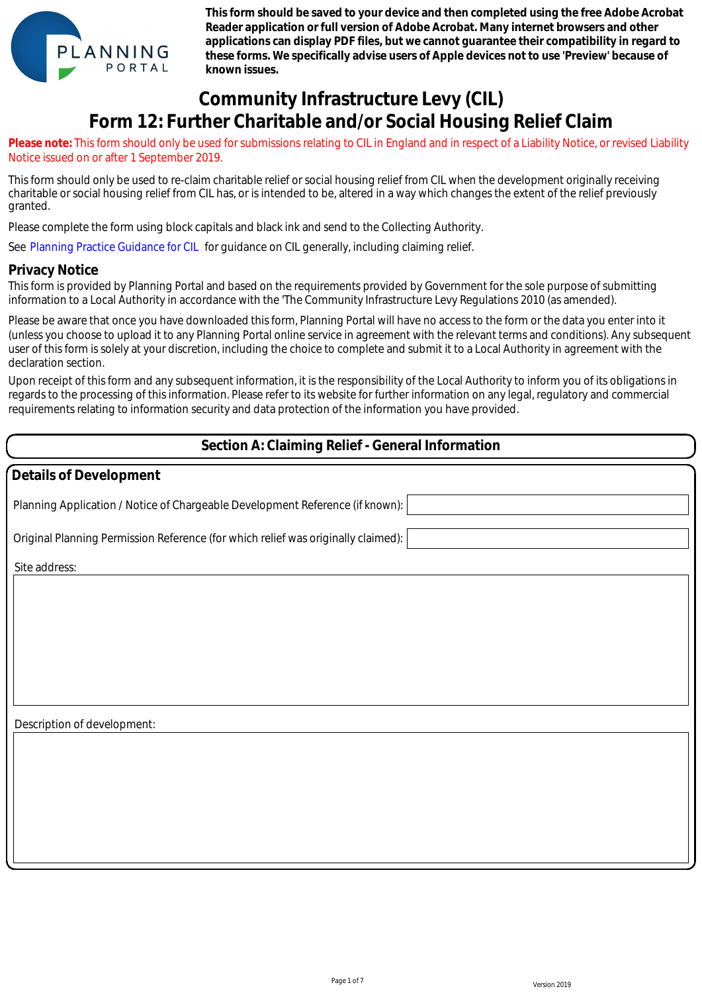

**This form should be saved to your device and then completed using the free Adobe Acrobat Reader application or full version of Adobe Acrobat. Many internet browsers and other applications can display PDF files, but we cannot guarantee their compatibility in regard to these forms. We specifically advise users of Apple devices not to use 'Preview' because of known issues.**

# **Community Infrastructure Levy (CIL) Form 12: Further Charitable and/or Social Housing Relief Claim**

**Please note:** This form should only be used for submissions relating to CIL in England and in respect of a Liability Notice, or revised Liability Notice issued on or after 1 September 2019.

This form should only be used to re-claim charitable relief or social housing relief from CIL when the development originally receiving charitable or social housing relief from CIL has, or is intended to be, altered in a way which changes the extent of the relief previously granted.

Please complete the form using block capitals and black ink and send to the Collecting Authority.

See Planning Practice Guidance for CIL for guidance on CIL generally, including claiming relief.

#### **Privacy Notice**

This form is provided by Planning Portal and based on the requirements provided by Government for the sole purpose of submitting information to a Local Authority in accordance with the 'The Community Infrastructure Levy Regulations 2010 (as amended).

Please be aware that once you have downloaded this form, Planning Portal will have no access to the form or the data you enter into it (unless you choose to upload it to any Planning Portal online service in agreement with the relevant terms and conditions). Any subsequent user of this form is solely at your discretion, including the choice to complete and submit it to a Local Authority in agreement with the declaration section.

Upon receipt of this form and any subsequent information, it is the responsibility of the Local Authority to inform you of its obligations in regards to the processing of this information. Please refer to its website for further information on any legal, regulatory and commercial requirements relating to information security and data protection of the information you have provided.

#### **Section A: Claiming Relief - General Information**

| Details of Development                                                            |
|-----------------------------------------------------------------------------------|
| Planning Application / Notice of Chargeable Development Reference (if known):     |
| Original Planning Permission Reference (for which relief was originally claimed): |
| Site address:                                                                     |
|                                                                                   |
|                                                                                   |
|                                                                                   |
|                                                                                   |
|                                                                                   |
| Description of development:                                                       |
|                                                                                   |
|                                                                                   |
|                                                                                   |
|                                                                                   |
|                                                                                   |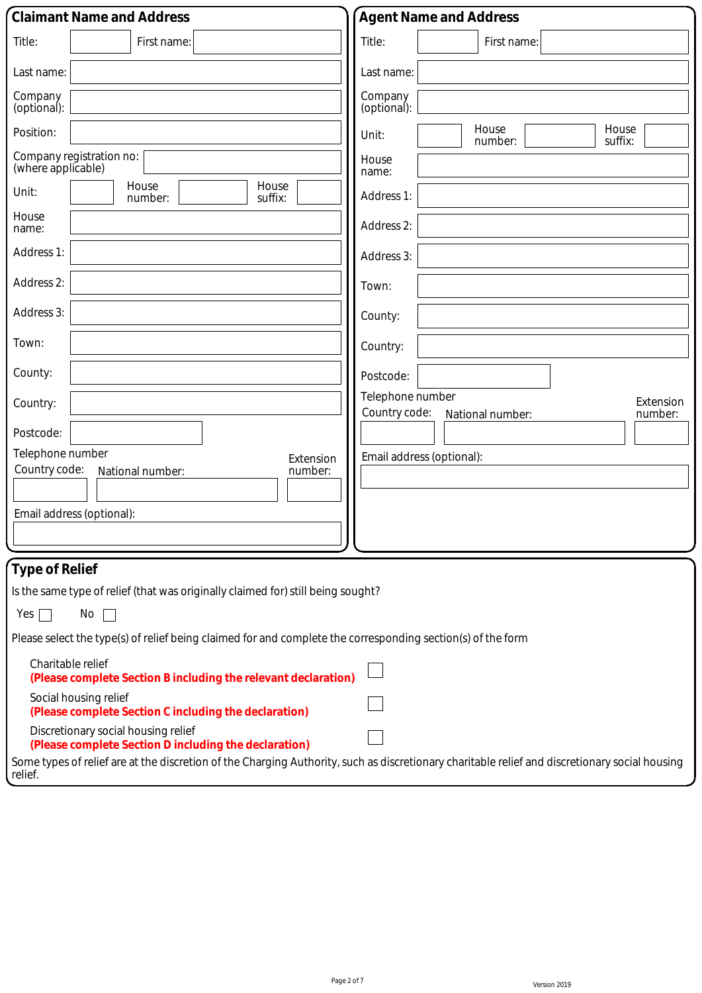| <b>Claimant Name and Address</b>                                                                                                                          | <b>Agent Name and Address</b>                                                 |
|-----------------------------------------------------------------------------------------------------------------------------------------------------------|-------------------------------------------------------------------------------|
| Title:<br>First name:                                                                                                                                     | Title:<br>First name:                                                         |
| Last name:                                                                                                                                                | Last name:                                                                    |
| Company<br>(optional):                                                                                                                                    | Company<br>(optional):                                                        |
| Position:                                                                                                                                                 | House<br>House<br>Unit:<br>suffix:<br>number:                                 |
| Company registration no:<br>(where applicable)                                                                                                            | House<br>name:                                                                |
| House<br>House<br>Unit:<br>number:<br>suffix:                                                                                                             | Address 1:                                                                    |
| House<br>name:                                                                                                                                            | Address 2:                                                                    |
| Address 1:                                                                                                                                                | Address 3:                                                                    |
| Address 2:                                                                                                                                                | Town:                                                                         |
| Address 3:                                                                                                                                                | County:                                                                       |
| Town:                                                                                                                                                     | Country:                                                                      |
| County:                                                                                                                                                   | Postcode:                                                                     |
| Country:                                                                                                                                                  | Telephone number<br>Extension<br>Country code:<br>number:<br>National number: |
| Postcode:                                                                                                                                                 |                                                                               |
| Telephone number<br>Extension<br>Country code:<br>number:<br>National number:                                                                             | Email address (optional):                                                     |
| Email address (optional):                                                                                                                                 |                                                                               |
|                                                                                                                                                           |                                                                               |
| <b>Type of Relief</b>                                                                                                                                     |                                                                               |
| Is the same type of relief (that was originally claimed for) still being sought?                                                                          |                                                                               |
| Yes<br>No                                                                                                                                                 |                                                                               |
| Please select the type(s) of relief being claimed for and complete the corresponding section(s) of the form                                               |                                                                               |
| Charitable relief<br>(Please complete Section B including the relevant declaration)                                                                       |                                                                               |
| Social housing relief<br>(Please complete Section C including the declaration)                                                                            |                                                                               |
| Discretionary social housing relief<br>(Please complete Section D including the declaration)                                                              |                                                                               |
| Some types of relief are at the discretion of the Charging Authority, such as discretionary charitable relief and discretionary social housing<br>relief. |                                                                               |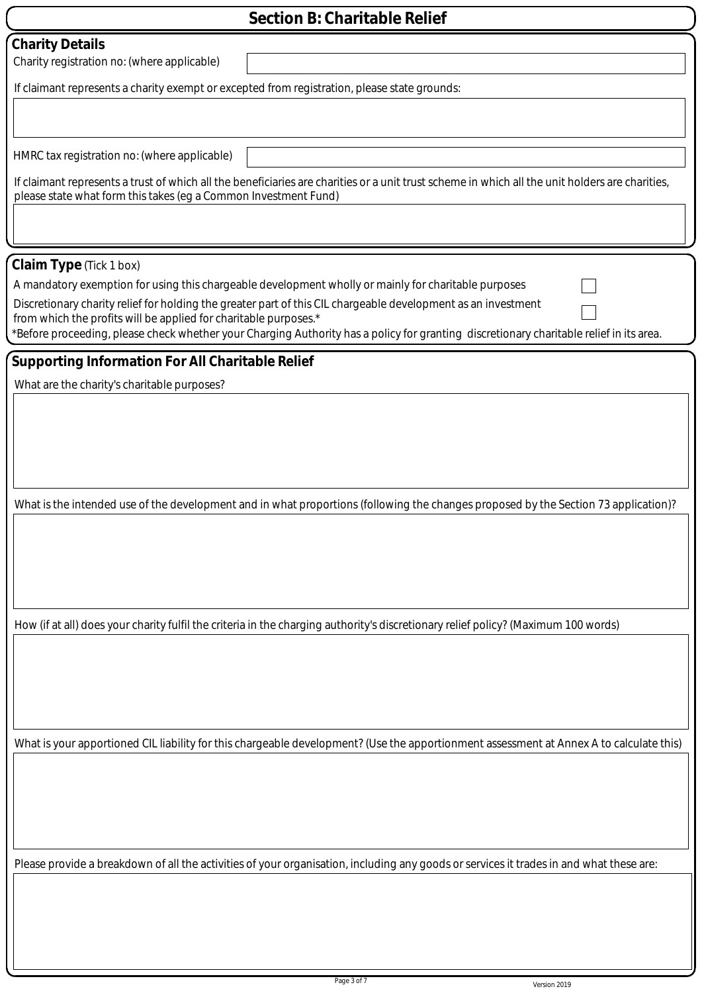| <b>Section B: Charitable Relief</b>                                                                                                                                                                                   |  |  |
|-----------------------------------------------------------------------------------------------------------------------------------------------------------------------------------------------------------------------|--|--|
| <b>Charity Details</b>                                                                                                                                                                                                |  |  |
| Charity registration no: (where applicable)                                                                                                                                                                           |  |  |
| If claimant represents a charity exempt or excepted from registration, please state grounds:                                                                                                                          |  |  |
|                                                                                                                                                                                                                       |  |  |
|                                                                                                                                                                                                                       |  |  |
| HMRC tax registration no: (where applicable)                                                                                                                                                                          |  |  |
| If claimant represents a trust of which all the beneficiaries are charities or a unit trust scheme in which all the unit holders are charities,                                                                       |  |  |
| please state what form this takes (eg a Common Investment Fund)                                                                                                                                                       |  |  |
|                                                                                                                                                                                                                       |  |  |
|                                                                                                                                                                                                                       |  |  |
| <b>Claim Type</b> (Tick 1 box)                                                                                                                                                                                        |  |  |
| A mandatory exemption for using this chargeable development wholly or mainly for charitable purposes<br>Discretionary charity relief for holding the greater part of this CIL chargeable development as an investment |  |  |
| from which the profits will be applied for charitable purposes.*                                                                                                                                                      |  |  |
| *Before proceeding, please check whether your Charging Authority has a policy for granting discretionary charitable relief in its area.                                                                               |  |  |
| <b>Supporting Information For All Charitable Relief</b>                                                                                                                                                               |  |  |
| What are the charity's charitable purposes?                                                                                                                                                                           |  |  |
|                                                                                                                                                                                                                       |  |  |
|                                                                                                                                                                                                                       |  |  |
|                                                                                                                                                                                                                       |  |  |
|                                                                                                                                                                                                                       |  |  |
|                                                                                                                                                                                                                       |  |  |
| What is the intended use of the development and in what proportions (following the changes proposed by the Section 73 application)?                                                                                   |  |  |
|                                                                                                                                                                                                                       |  |  |
|                                                                                                                                                                                                                       |  |  |
|                                                                                                                                                                                                                       |  |  |
|                                                                                                                                                                                                                       |  |  |
| How (if at all) does your charity fulfil the criteria in the charging authority's discretionary relief policy? (Maximum 100 words)                                                                                    |  |  |
|                                                                                                                                                                                                                       |  |  |
|                                                                                                                                                                                                                       |  |  |
|                                                                                                                                                                                                                       |  |  |
|                                                                                                                                                                                                                       |  |  |
|                                                                                                                                                                                                                       |  |  |
| What is your apportioned CIL liability for this chargeable development? (Use the apportionment assessment at Annex A to calculate this)                                                                               |  |  |
|                                                                                                                                                                                                                       |  |  |
|                                                                                                                                                                                                                       |  |  |
|                                                                                                                                                                                                                       |  |  |
|                                                                                                                                                                                                                       |  |  |
| Please provide a breakdown of all the activities of your organisation, including any goods or services it trades in and what these are:                                                                               |  |  |
|                                                                                                                                                                                                                       |  |  |
|                                                                                                                                                                                                                       |  |  |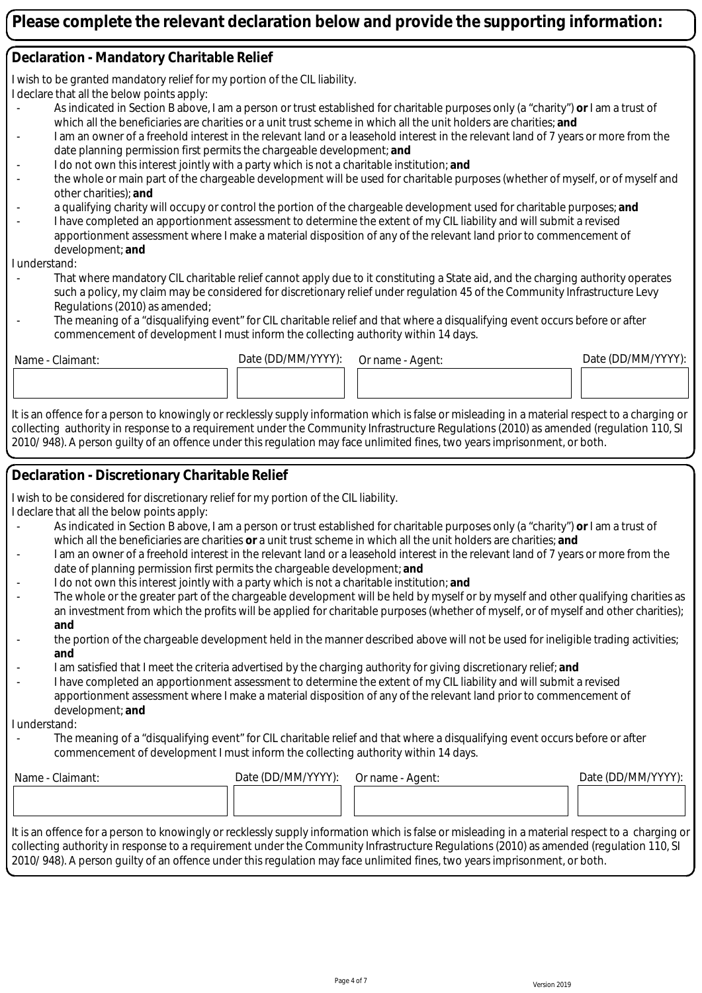#### **Declaration - Mandatory Charitable Relief**

I wish to be granted mandatory relief for my portion of the CIL liability.

I declare that all the below points apply:

- As indicated in Section B above, I am a person or trust established for charitable purposes only (a "charity") **or** I am a trust of which all the beneficiaries are charities or a unit trust scheme in which all the unit holders are charities; **and**
- I am an owner of a freehold interest in the relevant land or a leasehold interest in the relevant land of 7 years or more from the date planning permission first permits the chargeable development; **and**
- I do not own this interest jointly with a party which is not a charitable institution; and
- the whole or main part of the chargeable development will be used for charitable purposes (whether of myself, or of myself and other charities); **and**
- a qualifying charity will occupy or control the portion of the chargeable development used for charitable purposes; **and**
- I have completed an apportionment assessment to determine the extent of my CIL liability and will submit a revised apportionment assessment where I make a material disposition of any of the relevant land prior to commencement of development; **and**

I understand:

- That where mandatory CIL charitable relief cannot apply due to it constituting a State aid, and the charging authority operates such a policy, my claim may be considered for discretionary relief under regulation 45 of the Community Infrastructure Levy Regulations (2010) as amended;
- The meaning of a "disqualifying event" for CIL charitable relief and that where a disqualifying event occurs before or after commencement of development I must inform the collecting authority within 14 days.

Name - Claimant: Chaimant: Date (DD/MM/YYYY): Or name - Agent: Date (DD/MM/YYYY):

It is an offence for a person to knowingly or recklessly supply information which is false or misleading in a material respect to a charging or collecting authority in response to a requirement under the Community Infrastructure Regulations (2010) as amended (regulation 110, SI 2010/ 948). A person guilty of an offence under this regulation may face unlimited fines, two years imprisonment, or both.

### **Declaration - Discretionary Charitable Relief**

I wish to be considered for discretionary relief for my portion of the CIL liability.

I declare that all the below points apply:

- As indicated in Section B above, I am a person or trust established for charitable purposes only (a "charity") **or** I am a trust of which all the beneficiaries are charities **or** a unit trust scheme in which all the unit holders are charities; **and**
- I am an owner of a freehold interest in the relevant land or a leasehold interest in the relevant land of 7 years or more from the date of planning permission first permits the chargeable development; **and**
- I do not own this interest jointly with a party which is not a charitable institution; and
- The whole or the greater part of the chargeable development will be held by myself or by myself and other qualifying charities as an investment from which the profits will be applied for charitable purposes (whether of myself, or of myself and other charities); **and**
- the portion of the chargeable development held in the manner described above will not be used for ineligible trading activities; **and**
- I am satisfied that I meet the criteria advertised by the charging authority for giving discretionary relief; **and**
- I have completed an apportionment assessment to determine the extent of my CIL liability and will submit a revised apportionment assessment where I make a material disposition of any of the relevant land prior to commencement of development; **and**

I understand:

The meaning of a "disqualifying event" for CIL charitable relief and that where a disqualifying event occurs before or after commencement of development I must inform the collecting authority within 14 days.

| Name - Claimant: | Date (DD/MM/YYYY): | Or name - Agent: | Date (DD/MM/YYYY): |
|------------------|--------------------|------------------|--------------------|
|                  |                    |                  |                    |
|                  |                    |                  |                    |

It is an offence for a person to knowingly or recklessly supply information which is false or misleading in a material respect to a charging or collecting authority in response to a requirement under the Community Infrastructure Regulations (2010) as amended (regulation 110, SI 2010/ 948). A person guilty of an offence under this regulation may face unlimited fines, two years imprisonment, or both.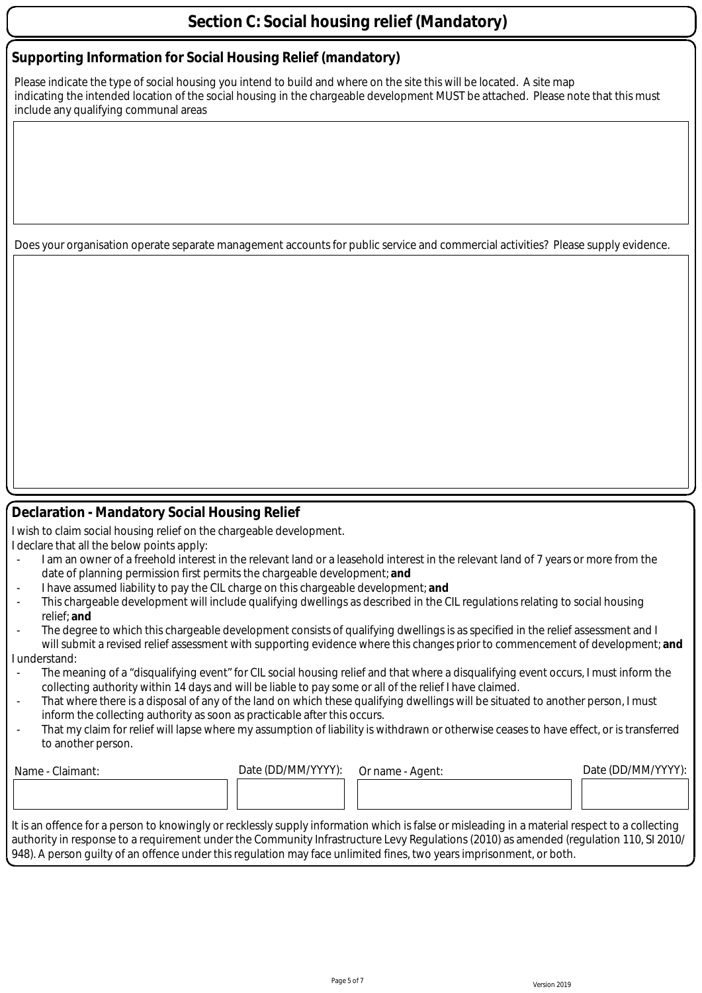### **Section C: Social housing relief (Mandatory)**

#### **Supporting Information for Social Housing Relief (mandatory)**

Please indicate the type of social housing you intend to build and where on the site this will be located. A site map indicating the intended location of the social housing in the chargeable development MUST be attached. Please note that this must include any qualifying communal areas

Does your organisation operate separate management accounts for public service and commercial activities? Please supply evidence.

#### **Declaration - Mandatory Social Housing Relief**

I wish to claim social housing relief on the chargeable development.

- I declare that all the below points apply:
- I am an owner of a freehold interest in the relevant land or a leasehold interest in the relevant land of 7 years or more from the date of planning permission first permits the chargeable development; **and**
- I have assumed liability to pay the CIL charge on this chargeable development; **and**
- This chargeable development will include qualifying dwellings as described in the CIL regulations relating to social housing relief; **and**
- The degree to which this chargeable development consists of qualifying dwellings is as specified in the relief assessment and I will submit a revised relief assessment with supporting evidence where this changes prior to commencement of development; **and**

#### I understand:

- The meaning of a "disqualifying event" for CIL social housing relief and that where a disqualifying event occurs, I must inform the collecting authority within 14 days and will be liable to pay some or all of the relief I have claimed.
- That where there is a disposal of any of the land on which these qualifying dwellings will be situated to another person, I must inform the collecting authority as soon as practicable after this occurs.
- That my claim for relief will lapse where my assumption of liability is withdrawn or otherwise ceases to have effect, or is transferred to another person.

| Name - Claimant:                                                                                                                               | Date (DD/MM/YYYY): | Or name - Agent: | Date (DD/MM/YYYY): |
|------------------------------------------------------------------------------------------------------------------------------------------------|--------------------|------------------|--------------------|
|                                                                                                                                                |                    |                  |                    |
|                                                                                                                                                |                    |                  |                    |
| It is an offence for a person to knowingly or recklessly supply information which is false or misleading in a material respect to a collecting |                    |                  |                    |

It is an offence for a person to knowingly or recklessly supply information which is false or misleading in a material respect to a collecting authority in response to a requirement under the Community Infrastructure Levy Regulations (2010) as amended (regulation 110, SI 2010/ 948). A person guilty of an offence under this regulation may face unlimited fines, two years imprisonment, or both.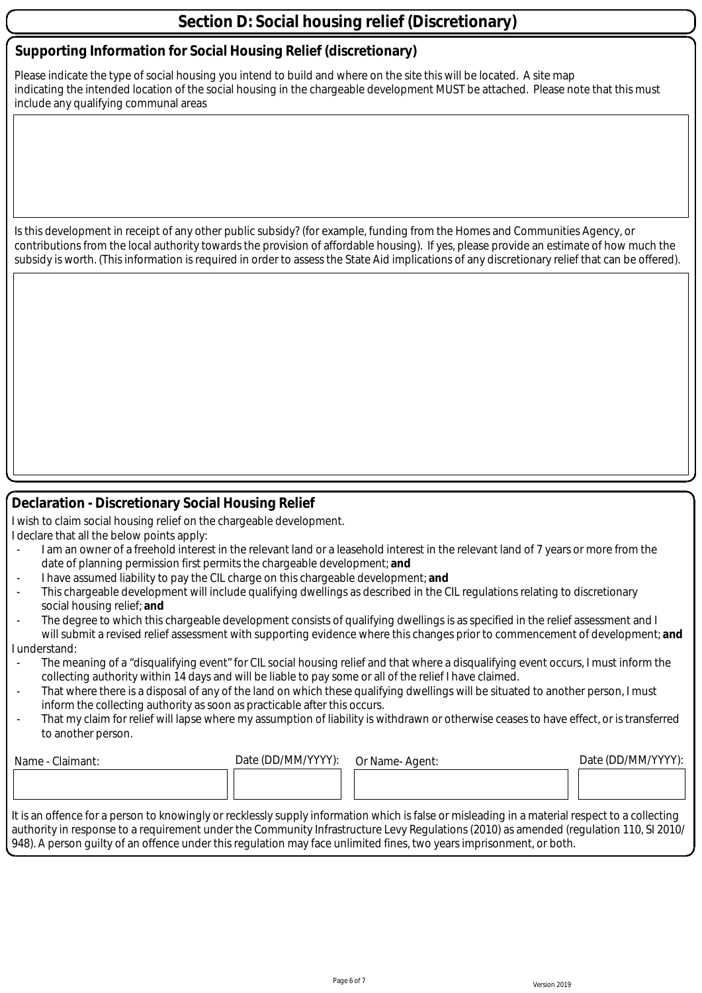### **Section D: Social housing relief (Discretionary)**

#### **Supporting Information for Social Housing Relief (discretionary)**

Please indicate the type of social housing you intend to build and where on the site this will be located. A site map indicating the intended location of the social housing in the chargeable development MUST be attached. Please note that this must include any qualifying communal areas

Is this development in receipt of any other public subsidy? (for example, funding from the Homes and Communities Agency, or contributions from the local authority towards the provision of affordable housing). If yes, please provide an estimate of how much the subsidy is worth. (This information is required in order to assess the State Aid implications of any discretionary relief that can be offered).

#### **Declaration - Discretionary Social Housing Relief**

I wish to claim social housing relief on the chargeable development. I declare that all the below points apply:

- I am an owner of a freehold interest in the relevant land or a leasehold interest in the relevant land of 7 years or more from the date of planning permission first permits the chargeable development; **and**
- I have assumed liability to pay the CIL charge on this chargeable development; **and**
- This chargeable development will include qualifying dwellings as described in the CIL regulations relating to discretionary social housing relief; **and**
- The degree to which this chargeable development consists of qualifying dwellings is as specified in the relief assessment and I will submit a revised relief assessment with supporting evidence where this changes prior to commencement of development; **and** I understand:
- The meaning of a "disqualifying event" for CIL social housing relief and that where a disqualifying event occurs, I must inform the collecting authority within 14 days and will be liable to pay some or all of the relief I have claimed.
- That where there is a disposal of any of the land on which these qualifying dwellings will be situated to another person. I must inform the collecting authority as soon as practicable after this occurs.
- That my claim for relief will lapse where my assumption of liability is withdrawn or otherwise ceases to have effect, or is transferred to another person.

| Name<br>Claimant: | Date (DD/MM/YYYY): | Or Name-Agent: | Date (DD/MM/YYYY): |
|-------------------|--------------------|----------------|--------------------|
|                   |                    |                |                    |
|                   |                    |                |                    |

It is an offence for a person to knowingly or recklessly supply information which is false or misleading in a material respect to a collecting authority in response to a requirement under the Community Infrastructure Levy Regulations (2010) as amended (regulation 110, SI 2010/ 948). A person guilty of an offence under this regulation may face unlimited fines, two years imprisonment, or both.